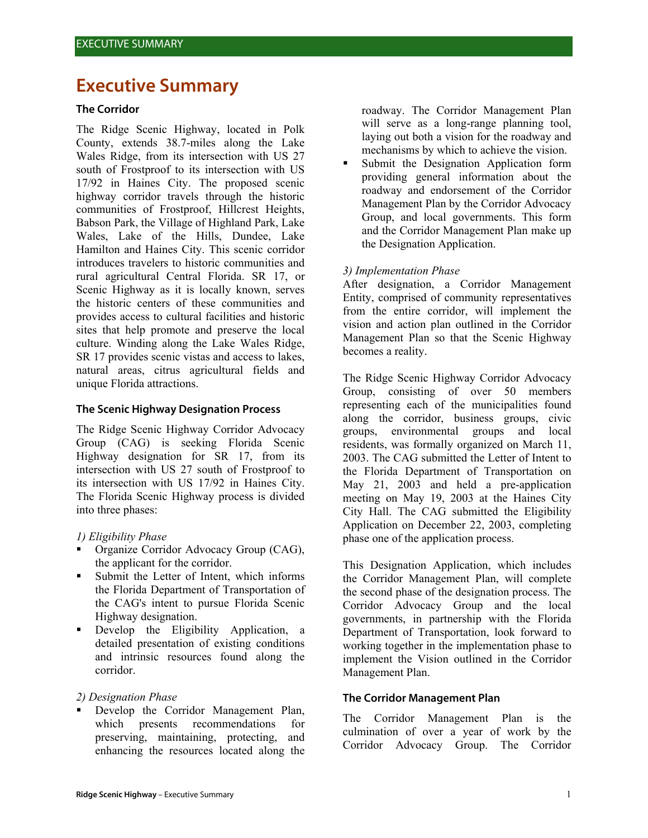# **Executive Summary**

### **The Corridor**

The Ridge Scenic Highway, located in Polk County, extends 38.7-miles along the Lake Wales Ridge, from its intersection with US 27 south of Frostproof to its intersection with US 17/92 in Haines City. The proposed scenic highway corridor travels through the historic communities of Frostproof, Hillcrest Heights, Babson Park, the Village of Highland Park, Lake Wales, Lake of the Hills, Dundee, Lake Hamilton and Haines City. This scenic corridor introduces travelers to historic communities and rural agricultural Central Florida. SR 17, or Scenic Highway as it is locally known, serves the historic centers of these communities and provides access to cultural facilities and historic sites that help promote and preserve the local culture. Winding along the Lake Wales Ridge, SR 17 provides scenic vistas and access to lakes, natural areas, citrus agricultural fields and unique Florida attractions.

## **The Scenic Highway Designation Process**

The Ridge Scenic Highway Corridor Advocacy Group (CAG) is seeking Florida Scenic Highway designation for SR 17, from its intersection with US 27 south of Frostproof to its intersection with US 17/92 in Haines City. The Florida Scenic Highway process is divided into three phases:

# *1) Eligibility Phase*

- Organize Corridor Advocacy Group (CAG), the applicant for the corridor.
- Submit the Letter of Intent, which informs the Florida Department of Transportation of the CAG's intent to pursue Florida Scenic Highway designation.
- Develop the Eligibility Application, a detailed presentation of existing conditions and intrinsic resources found along the corridor.

#### *2) Designation Phase*

 Develop the Corridor Management Plan, which presents recommendations for preserving, maintaining, protecting, and enhancing the resources located along the

roadway. The Corridor Management Plan will serve as a long-range planning tool, laying out both a vision for the roadway and mechanisms by which to achieve the vision.

 Submit the Designation Application form providing general information about the roadway and endorsement of the Corridor Management Plan by the Corridor Advocacy Group, and local governments. This form and the Corridor Management Plan make up the Designation Application.

## *3) Implementation Phase*

After designation, a Corridor Management Entity, comprised of community representatives from the entire corridor, will implement the vision and action plan outlined in the Corridor Management Plan so that the Scenic Highway becomes a reality.

The Ridge Scenic Highway Corridor Advocacy Group, consisting of over 50 members representing each of the municipalities found along the corridor, business groups, civic groups, environmental groups and local residents, was formally organized on March 11, 2003. The CAG submitted the Letter of Intent to the Florida Department of Transportation on May 21, 2003 and held a pre-application meeting on May 19, 2003 at the Haines City City Hall. The CAG submitted the Eligibility Application on December 22, 2003, completing phase one of the application process.

This Designation Application, which includes the Corridor Management Plan, will complete the second phase of the designation process. The Corridor Advocacy Group and the local governments, in partnership with the Florida Department of Transportation, look forward to working together in the implementation phase to implement the Vision outlined in the Corridor Management Plan.

## **The Corridor Management Plan**

The Corridor Management Plan is the culmination of over a year of work by the Corridor Advocacy Group. The Corridor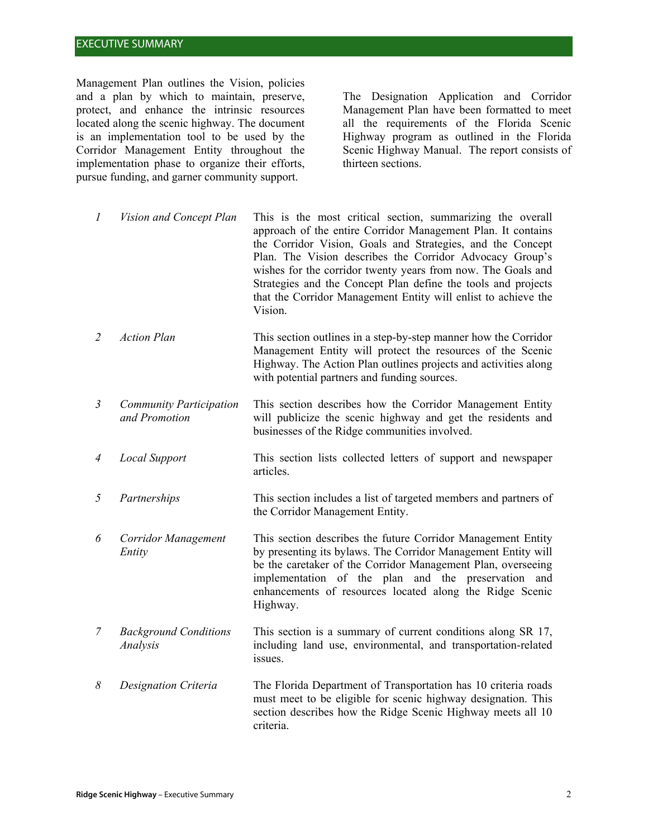# EXECUTIVE SUMMARY

Management Plan outlines the Vision, policies and a plan by which to maintain, preserve, protect, and enhance the intrinsic resources located along the scenic highway. The document is an implementation tool to be used by the Corridor Management Entity throughout the implementation phase to organize their efforts, pursue funding, and garner community support.

The Designation Application and Corridor Management Plan have been formatted to meet all the requirements of the Florida Scenic Highway program as outlined in the Florida Scenic Highway Manual. The report consists of thirteen sections.

*1 Vision and Concept Plan* This is the most critical section, summarizing the overall approach of the entire Corridor Management Plan. It contains the Corridor Vision, Goals and Strategies, and the Concept Plan. The Vision describes the Corridor Advocacy Group's wishes for the corridor twenty years from now. The Goals and Strategies and the Concept Plan define the tools and projects that the Corridor Management Entity will enlist to achieve the Vision.

- *2 Action Plan* This section outlines in a step-by-step manner how the Corridor Management Entity will protect the resources of the Scenic Highway. The Action Plan outlines projects and activities along with potential partners and funding sources.
- *3 Community Participation and Promotion*  This section describes how the Corridor Management Entity will publicize the scenic highway and get the residents and businesses of the Ridge communities involved.
- *4 Local Support* This section lists collected letters of support and newspaper articles.
- *5 Partnerships* This section includes a list of targeted members and partners of the Corridor Management Entity.
- *6 Corridor Management Entity* This section describes the future Corridor Management Entity by presenting its bylaws. The Corridor Management Entity will be the caretaker of the Corridor Management Plan, overseeing implementation of the plan and the preservation and enhancements of resources located along the Ridge Scenic Highway.
- *7 Background Conditions Analysis* This section is a summary of current conditions along SR 17, including land use, environmental, and transportation-related issues.
- *8 Designation Criteria* The Florida Department of Transportation has 10 criteria roads must meet to be eligible for scenic highway designation. This section describes how the Ridge Scenic Highway meets all 10 criteria.